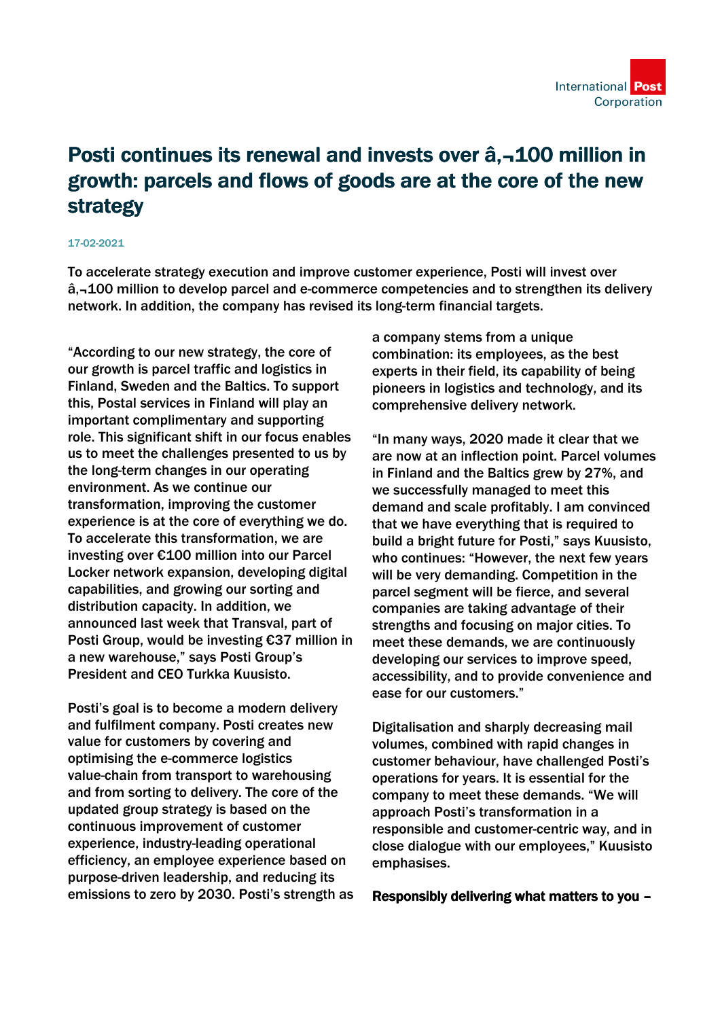

## Posti continues its renewal and invests over â,¬100 million in growth: parcels and flows of goods are at the core of the new strategy

## 17-02-2021

To accelerate strategy execution and improve customer experience, Posti will invest over â,-100 million to develop parcel and e-commerce competencies and to strengthen its delivery network. In addition, the company has revised its long-term financial targets.

"According to our new strategy, the core of our growth is parcel traffic and logistics in Finland, Sweden and the Baltics. To support this, Postal services in Finland will play an important complimentary and supporting role. This significant shift in our focus enables us to meet the challenges presented to us by the long-term changes in our operating environment. As we continue our transformation, improving the customer experience is at the core of everything we do. To accelerate this transformation, we are investing over €100 million into our Parcel Locker network expansion, developing digital capabilities, and growing our sorting and distribution capacity. In addition, we announced last week that Transval, part of Posti Group, would be investing €37 million in a new warehouse," says Posti Group's President and CEO Turkka Kuusisto.

Posti's goal is to become a modern delivery and fulfilment company. Posti creates new value for customers by covering and optimising the e-commerce logistics value-chain from transport to warehousing and from sorting to delivery. The core of the updated group strategy is based on the continuous improvement of customer experience, industry-leading operational efficiency, an employee experience based on purpose-driven leadership, and reducing its emissions to zero by 2030. Posti's strength as a company stems from a unique combination: its employees, as the best experts in their field, its capability of being pioneers in logistics and technology, and its comprehensive delivery network.

"In many ways, 2020 made it clear that we are now at an inflection point. Parcel volumes in Finland and the Baltics grew by 27%, and we successfully managed to meet this demand and scale profitably. I am convinced that we have everything that is required to build a bright future for Posti," says Kuusisto, who continues: "However, the next few years will be very demanding. Competition in the parcel segment will be fierce, and several companies are taking advantage of their strengths and focusing on major cities. To meet these demands, we are continuously developing our services to improve speed, accessibility, and to provide convenience and ease for our customers."

Digitalisation and sharply decreasing mail volumes, combined with rapid changes in customer behaviour, have challenged Posti's operations for years. It is essential for the company to meet these demands. "We will approach Posti's transformation in a responsible and customer-centric way, and in close dialogue with our employees," Kuusisto emphasises.

Responsibly delivering what matters to you –